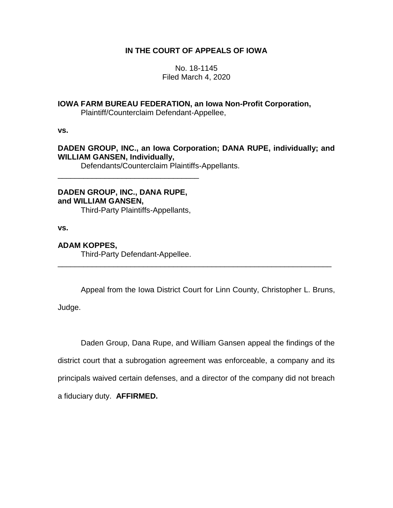# **IN THE COURT OF APPEALS OF IOWA**

No. 18-1145 Filed March 4, 2020

# **IOWA FARM BUREAU FEDERATION, an Iowa Non-Profit Corporation,**

Plaintiff/Counterclaim Defendant-Appellee,

**vs.**

# **DADEN GROUP, INC., an Iowa Corporation; DANA RUPE, individually; and WILLIAM GANSEN, Individually,**

Defendants/Counterclaim Plaintiffs-Appellants.

**DADEN GROUP, INC., DANA RUPE, and WILLIAM GANSEN,**

\_\_\_\_\_\_\_\_\_\_\_\_\_\_\_\_\_\_\_\_\_\_\_\_\_\_\_\_\_\_\_\_\_

Third-Party Plaintiffs-Appellants,

**vs.**

# **ADAM KOPPES,**

Third-Party Defendant-Appellee.

Appeal from the Iowa District Court for Linn County, Christopher L. Bruns,

\_\_\_\_\_\_\_\_\_\_\_\_\_\_\_\_\_\_\_\_\_\_\_\_\_\_\_\_\_\_\_\_\_\_\_\_\_\_\_\_\_\_\_\_\_\_\_\_\_\_\_\_\_\_\_\_\_\_\_\_\_\_\_\_

Judge.

Daden Group, Dana Rupe, and William Gansen appeal the findings of the district court that a subrogation agreement was enforceable, a company and its principals waived certain defenses, and a director of the company did not breach a fiduciary duty. **AFFIRMED.**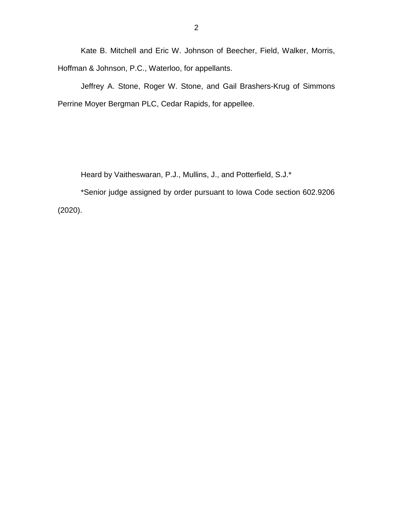Kate B. Mitchell and Eric W. Johnson of Beecher, Field, Walker, Morris, Hoffman & Johnson, P.C., Waterloo, for appellants.

Jeffrey A. Stone, Roger W. Stone, and Gail Brashers-Krug of Simmons Perrine Moyer Bergman PLC, Cedar Rapids, for appellee.

Heard by Vaitheswaran, P.J., Mullins, J., and Potterfield, S.J.\*

\*Senior judge assigned by order pursuant to Iowa Code section 602.9206 (2020).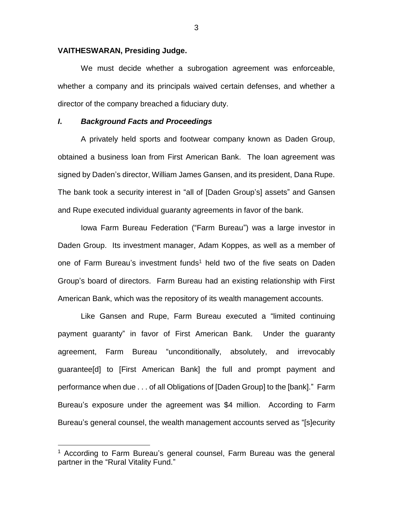### **VAITHESWARAN, Presiding Judge.**

We must decide whether a subrogation agreement was enforceable, whether a company and its principals waived certain defenses, and whether a director of the company breached a fiduciary duty.

# *I***.** *Background Facts and Proceedings*

A privately held sports and footwear company known as Daden Group, obtained a business loan from First American Bank. The loan agreement was signed by Daden's director, William James Gansen, and its president, Dana Rupe. The bank took a security interest in "all of [Daden Group's] assets" and Gansen and Rupe executed individual guaranty agreements in favor of the bank.

Iowa Farm Bureau Federation ("Farm Bureau") was a large investor in Daden Group. Its investment manager, Adam Koppes, as well as a member of one of Farm Bureau's investment funds<sup>1</sup> held two of the five seats on Daden Group's board of directors. Farm Bureau had an existing relationship with First American Bank, which was the repository of its wealth management accounts.

Like Gansen and Rupe, Farm Bureau executed a "limited continuing payment guaranty" in favor of First American Bank. Under the guaranty agreement, Farm Bureau "unconditionally, absolutely, and irrevocably guarantee[d] to [First American Bank] the full and prompt payment and performance when due . . . of all Obligations of [Daden Group] to the [bank]." Farm Bureau's exposure under the agreement was \$4 million. According to Farm Bureau's general counsel, the wealth management accounts served as "[s]ecurity

 $\overline{a}$ 

<sup>&</sup>lt;sup>1</sup> According to Farm Bureau's general counsel, Farm Bureau was the general partner in the "Rural Vitality Fund."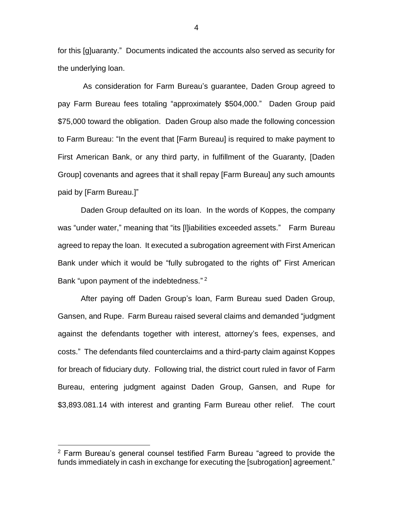for this [g]uaranty." Documents indicated the accounts also served as security for the underlying loan.

As consideration for Farm Bureau's guarantee, Daden Group agreed to pay Farm Bureau fees totaling "approximately \$504,000." Daden Group paid \$75,000 toward the obligation. Daden Group also made the following concession to Farm Bureau: "In the event that [Farm Bureau] is required to make payment to First American Bank, or any third party, in fulfillment of the Guaranty, [Daden Group] covenants and agrees that it shall repay [Farm Bureau] any such amounts paid by [Farm Bureau.]"

Daden Group defaulted on its loan. In the words of Koppes, the company was "under water," meaning that "its [l]iabilities exceeded assets." Farm Bureau agreed to repay the loan. It executed a subrogation agreement with First American Bank under which it would be "fully subrogated to the rights of" First American Bank "upon payment of the indebtedness."<sup>2</sup>

After paying off Daden Group's loan, Farm Bureau sued Daden Group, Gansen, and Rupe. Farm Bureau raised several claims and demanded "judgment against the defendants together with interest, attorney's fees, expenses, and costs." The defendants filed counterclaims and a third-party claim against Koppes for breach of fiduciary duty. Following trial, the district court ruled in favor of Farm Bureau, entering judgment against Daden Group, Gansen, and Rupe for \$3,893.081.14 with interest and granting Farm Bureau other relief. The court

 $\overline{a}$ 

4

<sup>2</sup> Farm Bureau's general counsel testified Farm Bureau "agreed to provide the funds immediately in cash in exchange for executing the [subrogation] agreement."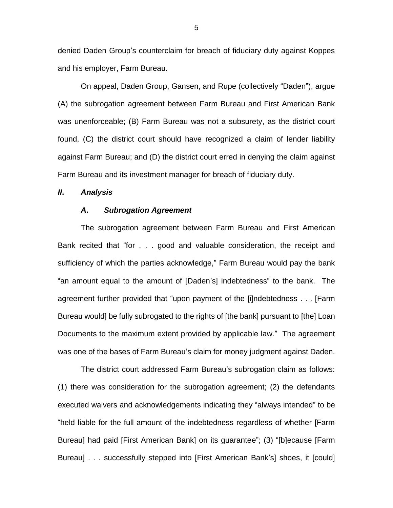denied Daden Group's counterclaim for breach of fiduciary duty against Koppes and his employer, Farm Bureau.

On appeal, Daden Group, Gansen, and Rupe (collectively "Daden"), argue (A) the subrogation agreement between Farm Bureau and First American Bank was unenforceable; (B) Farm Bureau was not a subsurety, as the district court found, (C) the district court should have recognized a claim of lender liability against Farm Bureau; and (D) the district court erred in denying the claim against Farm Bureau and its investment manager for breach of fiduciary duty.

### *II***.** *Analysis*

#### *A***.** *Subrogation Agreement*

The subrogation agreement between Farm Bureau and First American Bank recited that "for . . . good and valuable consideration, the receipt and sufficiency of which the parties acknowledge," Farm Bureau would pay the bank "an amount equal to the amount of [Daden's] indebtedness" to the bank. The agreement further provided that "upon payment of the [i]ndebtedness . . . [Farm Bureau would] be fully subrogated to the rights of [the bank] pursuant to [the] Loan Documents to the maximum extent provided by applicable law." The agreement was one of the bases of Farm Bureau's claim for money judgment against Daden.

The district court addressed Farm Bureau's subrogation claim as follows: (1) there was consideration for the subrogation agreement; (2) the defendants executed waivers and acknowledgements indicating they "always intended" to be "held liable for the full amount of the indebtedness regardless of whether [Farm Bureau] had paid [First American Bank] on its guarantee"; (3) "[b]ecause [Farm Bureau] . . . successfully stepped into [First American Bank's] shoes, it [could]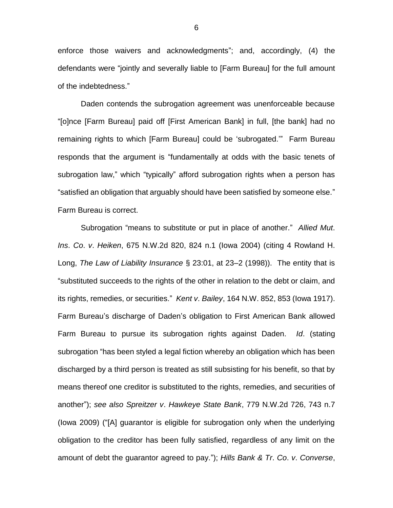enforce those waivers and acknowledgments"; and, accordingly, (4) the defendants were "jointly and severally liable to [Farm Bureau] for the full amount of the indebtedness."

Daden contends the subrogation agreement was unenforceable because "[o]nce [Farm Bureau] paid off [First American Bank] in full, [the bank] had no remaining rights to which [Farm Bureau] could be 'subrogated.'" Farm Bureau responds that the argument is "fundamentally at odds with the basic tenets of subrogation law," which "typically" afford subrogation rights when a person has "satisfied an obligation that arguably should have been satisfied by someone else." Farm Bureau is correct.

Subrogation "means to substitute or put in place of another." *Allied Mut*. *Ins*. *Co*. *v*. *Heiken*, 675 N.W.2d 820, 824 n.1 (Iowa 2004) (citing 4 Rowland H. Long, *The Law of Liability Insurance* § 23:01, at 23–2 (1998)). The entity that is "substituted succeeds to the rights of the other in relation to the debt or claim, and its rights, remedies, or securities." *Kent v*. *Bailey*, 164 N.W. 852, 853 (Iowa 1917). Farm Bureau's discharge of Daden's obligation to First American Bank allowed Farm Bureau to pursue its subrogation rights against Daden. *Id*. (stating subrogation "has been styled a legal fiction whereby an obligation which has been discharged by a third person is treated as still subsisting for his benefit, so that by means thereof one creditor is substituted to the rights, remedies, and securities of another"); *see also Spreitzer v*. *Hawkeye State Bank*, 779 N.W.2d 726, 743 n.7 (Iowa 2009) ("[A] guarantor is eligible for subrogation only when the underlying obligation to the creditor has been fully satisfied, regardless of any limit on the amount of debt the guarantor agreed to pay."); *Hills Bank & Tr*. *Co*. *v*. *Converse*,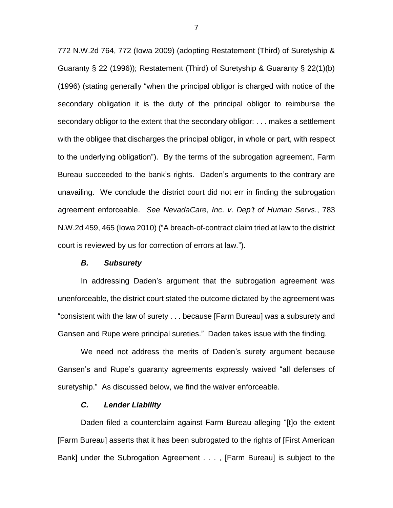772 N.W.2d 764, 772 (Iowa 2009) (adopting Restatement (Third) of Suretyship & Guaranty § 22 (1996)); Restatement (Third) of Suretyship & Guaranty § 22(1)(b) (1996) (stating generally "when the principal obligor is charged with notice of the secondary obligation it is the duty of the principal obligor to reimburse the secondary obligor to the extent that the secondary obligor: . . . makes a settlement with the obligee that discharges the principal obligor, in whole or part, with respect to the underlying obligation"). By the terms of the subrogation agreement, Farm Bureau succeeded to the bank's rights. Daden's arguments to the contrary are unavailing. We conclude the district court did not err in finding the subrogation agreement enforceable. *See NevadaCare*, *Inc*. *v*. *Dep't of Human Servs.*, 783 N.W.2d 459, 465 (Iowa 2010) ("A breach-of-contract claim tried at law to the district court is reviewed by us for correction of errors at law.").

### *B. Subsurety*

In addressing Daden's argument that the subrogation agreement was unenforceable, the district court stated the outcome dictated by the agreement was "consistent with the law of surety . . . because [Farm Bureau] was a subsurety and Gansen and Rupe were principal sureties." Daden takes issue with the finding.

We need not address the merits of Daden's surety argument because Gansen's and Rupe's guaranty agreements expressly waived "all defenses of suretyship." As discussed below, we find the waiver enforceable.

### *C. Lender Liability*

Daden filed a counterclaim against Farm Bureau alleging "[t]o the extent [Farm Bureau] asserts that it has been subrogated to the rights of [First American Bank] under the Subrogation Agreement . . . , [Farm Bureau] is subject to the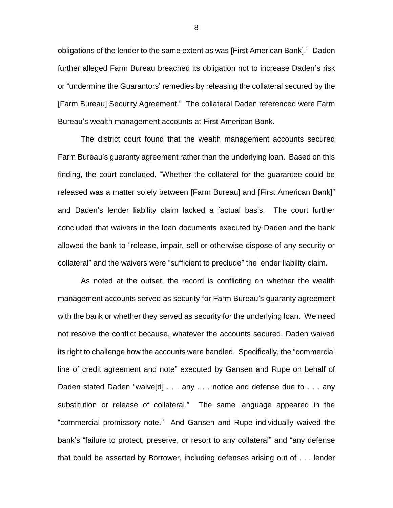obligations of the lender to the same extent as was [First American Bank]." Daden further alleged Farm Bureau breached its obligation not to increase Daden's risk or "undermine the Guarantors' remedies by releasing the collateral secured by the [Farm Bureau] Security Agreement." The collateral Daden referenced were Farm Bureau's wealth management accounts at First American Bank.

The district court found that the wealth management accounts secured Farm Bureau's guaranty agreement rather than the underlying loan. Based on this finding, the court concluded, "Whether the collateral for the guarantee could be released was a matter solely between [Farm Bureau] and [First American Bank]" and Daden's lender liability claim lacked a factual basis. The court further concluded that waivers in the loan documents executed by Daden and the bank allowed the bank to "release, impair, sell or otherwise dispose of any security or collateral" and the waivers were "sufficient to preclude" the lender liability claim.

As noted at the outset, the record is conflicting on whether the wealth management accounts served as security for Farm Bureau's guaranty agreement with the bank or whether they served as security for the underlying loan. We need not resolve the conflict because, whatever the accounts secured, Daden waived its right to challenge how the accounts were handled. Specifically, the "commercial line of credit agreement and note" executed by Gansen and Rupe on behalf of Daden stated Daden "waive[d] . . . any . . . notice and defense due to . . . any substitution or release of collateral." The same language appeared in the "commercial promissory note." And Gansen and Rupe individually waived the bank's "failure to protect, preserve, or resort to any collateral" and "any defense that could be asserted by Borrower, including defenses arising out of . . . lender

8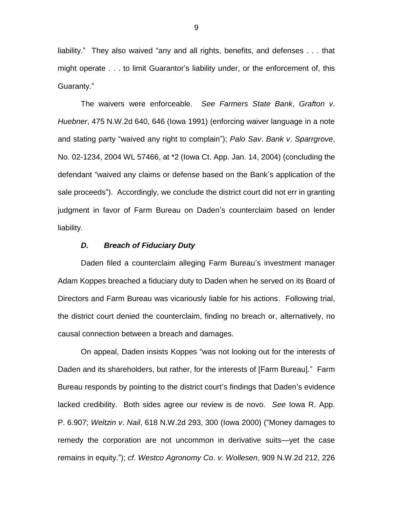liability." They also waived "any and all rights, benefits, and defenses . . . that might operate . . . to limit Guarantor's liability under, or the enforcement of, this Guaranty."

The waivers were enforceable. *See Farmers State Bank*, *Grafton v*. *Huebner*, 475 N.W.2d 640, 646 (Iowa 1991) (enforcing waiver language in a note and stating party "waived any right to complain"); *Palo Sav*. *Bank v*. *Sparrgrove*, No. 02-1234, 2004 WL 57466, at \*2 (Iowa Ct. App. Jan. 14, 2004) (concluding the defendant "waived any claims or defense based on the Bank's application of the sale proceeds"). Accordingly, we conclude the district court did not err in granting judgment in favor of Farm Bureau on Daden's counterclaim based on lender liability.

#### *D. Breach of Fiduciary Duty*

Daden filed a counterclaim alleging Farm Bureau's investment manager Adam Koppes breached a fiduciary duty to Daden when he served on its Board of Directors and Farm Bureau was vicariously liable for his actions. Following trial, the district court denied the counterclaim, finding no breach or, alternatively, no causal connection between a breach and damages.

On appeal, Daden insists Koppes "was not looking out for the interests of Daden and its shareholders, but rather, for the interests of [Farm Bureau]." Farm Bureau responds by pointing to the district court's findings that Daden's evidence lacked credibility. Both sides agree our review is de novo. *See* Iowa R. App. P. 6.907; *Weltzin v*. *Nail*, 618 N.W.2d 293, 300 (Iowa 2000) ("Money damages to remedy the corporation are not uncommon in derivative suits—yet the case remains in equity."); *cf*. *Westco Agronomy Co*. *v*. *Wollesen*, 909 N.W.2d 212, 226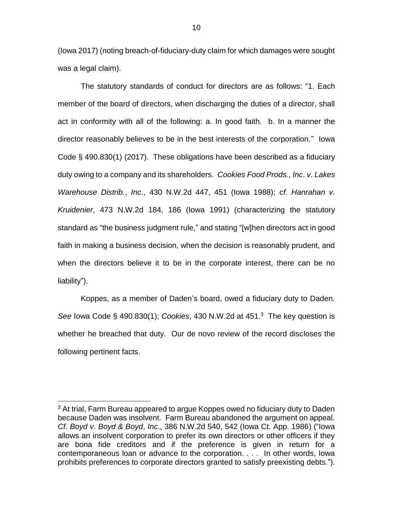(Iowa 2017) (noting breach-of-fiduciary-duty claim for which damages were sought was a legal claim).

The statutory standards of conduct for directors are as follows: "1. Each member of the board of directors, when discharging the duties of a director, shall act in conformity with all of the following: a. In good faith. b. In a manner the director reasonably believes to be in the best interests of the corporation." Iowa Code § 490.830(1) (2017). These obligations have been described as a fiduciary duty owing to a company and its shareholders. *Cookies Food Prods.*, *Inc*. *v*. *Lakes Warehouse Distrib.*, *Inc*., 430 N.W.2d 447, 451 (Iowa 1988); *cf*. *Hanrahan v*. *Kruidenier*, 473 N.W.2d 184, 186 (Iowa 1991) (characterizing the statutory standard as "the business judgment rule," and stating "[w]hen directors act in good faith in making a business decision, when the decision is reasonably prudent, and when the directors believe it to be in the corporate interest, there can be no liability").

Koppes, as a member of Daden's board, owed a fiduciary duty to Daden. *See* Iowa Code § 490.830(1); *Cookies*, 430 N.W.2d at 451. 3 The key question is whether he breached that duty. Our de novo review of the record discloses the following pertinent facts.

 $\overline{a}$ 

 $3$  At trial, Farm Bureau appeared to argue Koppes owed no fiduciary duty to Daden because Daden was insolvent. Farm Bureau abandoned the argument on appeal. *Cf*. *Boyd v*. *Boyd & Boyd*, *Inc*., 386 N.W.2d 540, 542 (Iowa Ct. App. 1986) ("Iowa allows an insolvent corporation to prefer its own directors or other officers if they are bona fide creditors and if the preference is given in return for a contemporaneous loan or advance to the corporation. . . . In other words, Iowa prohibits preferences to corporate directors granted to satisfy preexisting debts.").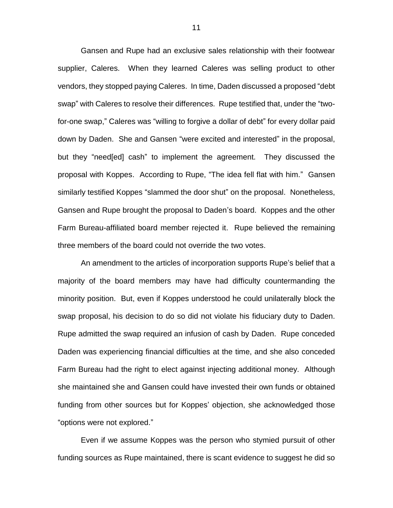Gansen and Rupe had an exclusive sales relationship with their footwear supplier, Caleres. When they learned Caleres was selling product to other vendors, they stopped paying Caleres. In time, Daden discussed a proposed "debt swap" with Caleres to resolve their differences. Rupe testified that, under the "twofor-one swap," Caleres was "willing to forgive a dollar of debt" for every dollar paid down by Daden. She and Gansen "were excited and interested" in the proposal, but they "need[ed] cash" to implement the agreement. They discussed the proposal with Koppes. According to Rupe, "The idea fell flat with him." Gansen similarly testified Koppes "slammed the door shut" on the proposal. Nonetheless, Gansen and Rupe brought the proposal to Daden's board. Koppes and the other Farm Bureau-affiliated board member rejected it. Rupe believed the remaining three members of the board could not override the two votes.

An amendment to the articles of incorporation supports Rupe's belief that a majority of the board members may have had difficulty countermanding the minority position. But, even if Koppes understood he could unilaterally block the swap proposal, his decision to do so did not violate his fiduciary duty to Daden. Rupe admitted the swap required an infusion of cash by Daden. Rupe conceded Daden was experiencing financial difficulties at the time, and she also conceded Farm Bureau had the right to elect against injecting additional money. Although she maintained she and Gansen could have invested their own funds or obtained funding from other sources but for Koppes' objection, she acknowledged those "options were not explored."

Even if we assume Koppes was the person who stymied pursuit of other funding sources as Rupe maintained, there is scant evidence to suggest he did so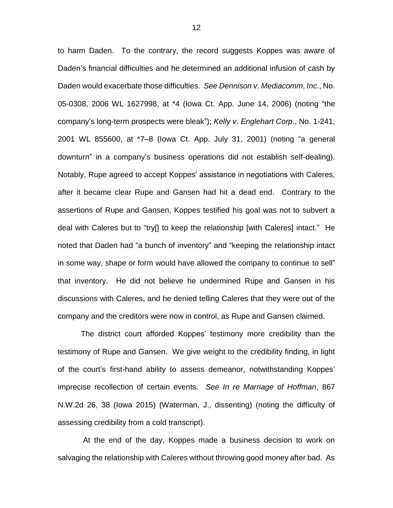to harm Daden. To the contrary, the record suggests Koppes was aware of Daden's financial difficulties and he determined an additional infusion of cash by Daden would exacerbate those difficulties. *See Dennison v*. *Mediacomm*, *Inc*., No. 05-0308, 2006 WL 1627998, at \*4 (Iowa Ct. App. June 14, 2006) (noting "the company's long-term prospects were bleak"); *Kelly v*. *Englehart Corp*., No. 1-241, 2001 WL 855600, at \*7–8 (Iowa Ct. App. July 31, 2001) (noting "a general downturn" in a company's business operations did not establish self-dealing). Notably, Rupe agreed to accept Koppes' assistance in negotiations with Caleres, after it became clear Rupe and Gansen had hit a dead end. Contrary to the assertions of Rupe and Gansen, Koppes testified his goal was not to subvert a deal with Caleres but to "try[] to keep the relationship [with Caleres] intact." He noted that Daden had "a bunch of inventory" and "keeping the relationship intact in some way, shape or form would have allowed the company to continue to sell" that inventory. He did not believe he undermined Rupe and Gansen in his discussions with Caleres, and he denied telling Caleres that they were out of the company and the creditors were now in control, as Rupe and Gansen claimed.

The district court afforded Koppes' testimony more credibility than the testimony of Rupe and Gansen. We give weight to the credibility finding, in light of the court's first-hand ability to assess demeanor, notwithstanding Koppes' imprecise recollection of certain events. *See In re Marriage of Hoffman*, 867 N.W.2d 26, 38 (Iowa 2015) (Waterman, J., dissenting) (noting the difficulty of assessing credibility from a cold transcript).

At the end of the day, Koppes made a business decision to work on salvaging the relationship with Caleres without throwing good money after bad. As